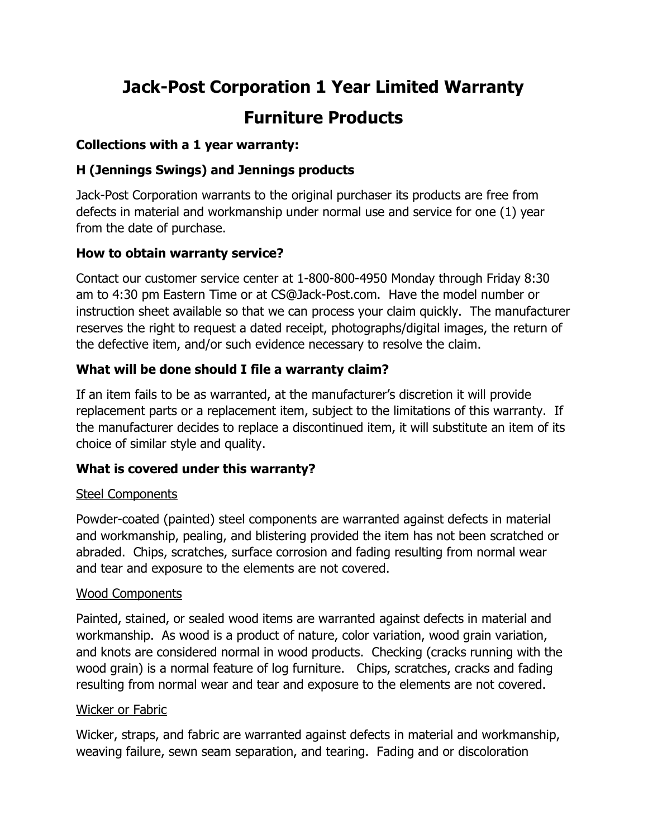# Jack-Post Corporation 1 Year Limited Warranty Furniture Products

#### Collections with a 1 year warranty:

# H (Jennings Swings) and Jennings products

Jack-Post Corporation warrants to the original purchaser its products are free from defects in material and workmanship under normal use and service for one (1) year from the date of purchase.

## How to obtain warranty service?

Contact our customer service center at 1-800-800-4950 Monday through Friday 8:30 am to 4:30 pm Eastern Time or at CS@Jack-Post.com. Have the model number or instruction sheet available so that we can process your claim quickly. The manufacturer reserves the right to request a dated receipt, photographs/digital images, the return of the defective item, and/or such evidence necessary to resolve the claim.

## What will be done should I file a warranty claim?

If an item fails to be as warranted, at the manufacturer's discretion it will provide replacement parts or a replacement item, subject to the limitations of this warranty. If the manufacturer decides to replace a discontinued item, it will substitute an item of its choice of similar style and quality.

## What is covered under this warranty?

## Steel Components

Powder-coated (painted) steel components are warranted against defects in material and workmanship, pealing, and blistering provided the item has not been scratched or abraded. Chips, scratches, surface corrosion and fading resulting from normal wear and tear and exposure to the elements are not covered.

## Wood Components

Painted, stained, or sealed wood items are warranted against defects in material and workmanship. As wood is a product of nature, color variation, wood grain variation, and knots are considered normal in wood products. Checking (cracks running with the wood grain) is a normal feature of log furniture. Chips, scratches, cracks and fading resulting from normal wear and tear and exposure to the elements are not covered.

#### Wicker or Fabric

Wicker, straps, and fabric are warranted against defects in material and workmanship, weaving failure, sewn seam separation, and tearing. Fading and or discoloration